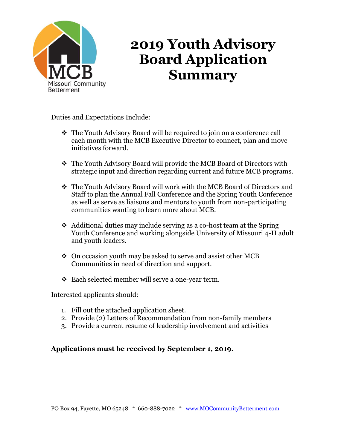

## **2019 Youth Advisory Board Application Summary**

Duties and Expectations Include:

- ❖ The Youth Advisory Board will be required to join on a conference call each month with the MCB Executive Director to connect, plan and move initiatives forward.
- ❖ The Youth Advisory Board will provide the MCB Board of Directors with strategic input and direction regarding current and future MCB programs.
- ❖ The Youth Advisory Board will work with the MCB Board of Directors and Staff to plan the Annual Fall Conference and the Spring Youth Conference as well as serve as liaisons and mentors to youth from non-participating communities wanting to learn more about MCB.
- ❖ Additional duties may include serving as a co-host team at the Spring Youth Conference and working alongside University of Missouri 4-H adult and youth leaders.
- ❖ On occasion youth may be asked to serve and assist other MCB Communities in need of direction and support.
- ❖ Each selected member will serve a one-year term.

Interested applicants should:

- 1. Fill out the attached application sheet.
- 2. Provide (2) Letters of Recommendation from non-family members
- 3. Provide a current resume of leadership involvement and activities

## **Applications must be received by September 1, 2019.**